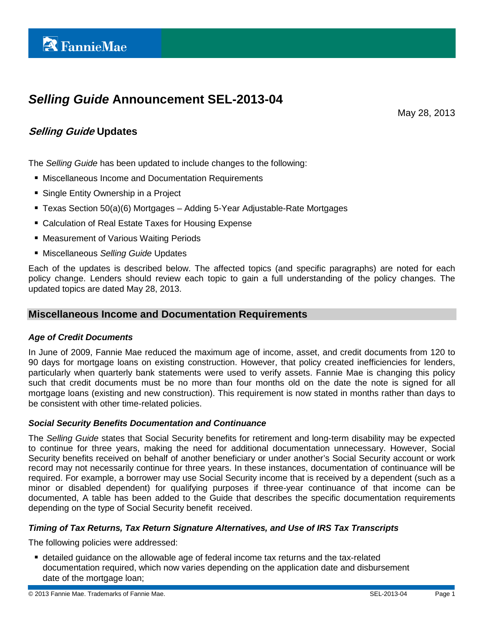# *Selling Guide* **Announcement SEL-2013-04**

May 28, 2013

## **Selling Guide Updates**

The *Selling Guide* has been updated to include changes to the following:

- Miscellaneous Income and Documentation Requirements
- Single Entity Ownership in a Project
- Texas Section 50(a)(6) Mortgages Adding 5-Year Adjustable-Rate Mortgages
- Calculation of Real Estate Taxes for Housing Expense
- Measurement of Various Waiting Periods
- Miscellaneous *Selling Guide* Updates

Each of the updates is described below. The affected topics (and specific paragraphs) are noted for each policy change. Lenders should review each topic to gain a full understanding of the policy changes. The updated topics are dated May 28, 2013.

## **Miscellaneous Income and Documentation Requirements**

## *Age of Credit Documents*

In June of 2009, Fannie Mae reduced the maximum age of income, asset, and credit documents from 120 to 90 days for mortgage loans on existing construction. However, that policy created inefficiencies for lenders, particularly when quarterly bank statements were used to verify assets. Fannie Mae is changing this policy such that credit documents must be no more than four months old on the date the note is signed for all mortgage loans (existing and new construction). This requirement is now stated in months rather than days to be consistent with other time-related policies.

## *Social Security Benefits Documentation and Continuance*

The *Selling Guide* states that Social Security benefits for retirement and long-term disability may be expected to continue for three years, making the need for additional documentation unnecessary. However, Social Security benefits received on behalf of another beneficiary or under another's Social Security account or work record may not necessarily continue for three years. In these instances, documentation of continuance will be required. For example, a borrower may use Social Security income that is received by a dependent (such as a minor or disabled dependent) for qualifying purposes if three-year continuance of that income can be documented, A table has been added to the Guide that describes the specific documentation requirements depending on the type of Social Security benefit received.

## *Timing of Tax Returns, Tax Return Signature Alternatives, and Use of IRS Tax Transcripts*

The following policies were addressed:

 detailed guidance on the allowable age of federal income tax returns and the tax-related documentation required, which now varies depending on the application date and disbursement date of the mortgage loan;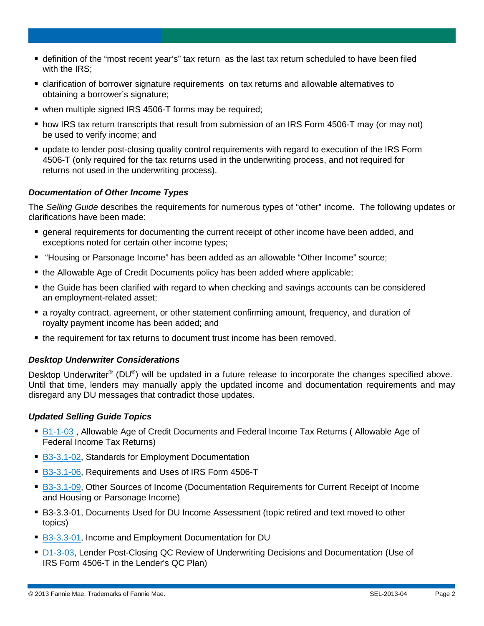- definition of the "most recent year's" tax return as the last tax return scheduled to have been filed with the IRS;
- clarification of borrower signature requirements on tax returns and allowable alternatives to obtaining a borrower's signature;
- when multiple signed IRS 4506-T forms may be required;
- how IRS tax return transcripts that result from submission of an IRS Form 4506-T may (or may not) be used to verify income; and
- update to lender post-closing quality control requirements with regard to execution of the IRS Form 4506-T (only required for the tax returns used in the underwriting process, and not required for returns not used in the underwriting process).

## *Documentation of Other Income Types*

The *Selling Guide* describes the requirements for numerous types of "other" income. The following updates or clarifications have been made:

- **•** general requirements for documenting the current receipt of other income have been added, and exceptions noted for certain other income types;
- "Housing or Parsonage Income" has been added as an allowable "Other Income" source;
- the Allowable Age of Credit Documents policy has been added where applicable;
- the Guide has been clarified with regard to when checking and savings accounts can be considered an employment-related asset;
- a royalty contract, agreement, or other statement confirming amount, frequency, and duration of royalty payment income has been added; and
- the requirement for tax returns to document trust income has been removed.

#### *Desktop Underwriter Considerations*

Desktop Underwriter**®** (DU**®**) will be updated in a future release to incorporate the changes specified above. Until that time, lenders may manually apply the updated income and documentation requirements and may disregard any DU messages that contradict those updates.

#### *Updated Selling Guide Topics*

- [B1-1-03](https://www.fanniemae.com/content/guide/sel052813.pdf#page=192), Allowable Age of Credit Documents and Federal Income Tax Returns (Allowable Age of Federal Income Tax Returns)
- [B3-3.1-02,](https://www.fanniemae.com/content/guide/sel052813.pdf#page=354) Standards for Employment Documentation
- [B3-3.1-06,](https://www.fanniemae.com/content/guide/sel052813.pdf#page=363) Requirements and Uses of IRS Form 4506-T
- [B3-3.1-09,](https://www.fanniemae.com/content/guide/sel052813.pdf#page=376) Other Sources of Income (Documentation Requirements for Current Receipt of Income and Housing or Parsonage Income)
- B3-3.3-01, Documents Used for DU Income Assessment (topic retired and text moved to other topics)
- [B3-3.3-01,](https://www.fanniemae.com/content/guide/sel052813.pdf#page=422) Income and Employment Documentation for DU
- [D1-3-03,](https://www.fanniemae.com/content/guide/sel052813.pdf#page=1191) Lender Post-Closing QC Review of Underwriting Decisions and Documentation (Use of IRS Form 4506-T in the Lender's QC Plan)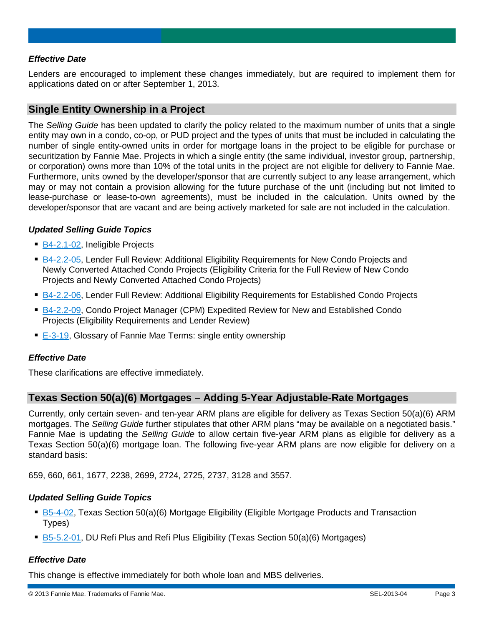## *Effective Date*

Lenders are encouraged to implement these changes immediately, but are required to implement them for applications dated on or after September 1, 2013.

## **Single Entity Ownership in a Project**

The *Selling Guide* has been updated to clarify the policy related to the maximum number of units that a single entity may own in a condo, co-op, or PUD project and the types of units that must be included in calculating the number of single entity-owned units in order for mortgage loans in the project to be eligible for purchase or securitization by Fannie Mae. Projects in which a single entity (the same individual, investor group, partnership, or corporation) owns more than 10% of the total units in the project are not eligible for delivery to Fannie Mae. Furthermore, units owned by the developer/sponsor that are currently subject to any lease arrangement, which may or may not contain a provision allowing for the future purchase of the unit (including but not limited to lease-purchase or lease-to-own agreements), must be included in the calculation. Units owned by the developer/sponsor that are vacant and are being actively marketed for sale are not included in the calculation.

## *Updated Selling Guide Topics*

- [B4-2.1-02,](https://www.fanniemae.com/content/guide/sel052813.pdf#page=649) Ineligible Projects
- [B4-2.2-05,](https://www.fanniemae.com/content/guide/sel052813.pdf#page=673) Lender Full Review: Additional Eligibility Requirements for New Condo Projects and Newly Converted Attached Condo Projects (Eligibility Criteria for the Full Review of New Condo Projects and Newly Converted Attached Condo Projects)
- [B4-2.2-06,](https://www.fanniemae.com/content/guide/sel052813.pdf#page=677) Lender Full Review: Additional Eligibility Requirements for Established Condo Projects
- [B4-2.2-09,](https://www.fanniemae.com/content/guide/sel052813.pdf#page=685) Condo Project Manager (CPM) Expedited Review for New and Established Condo Projects (Eligibility Requirements and Lender Review)
- [E-3-19,](https://www.fanniemae.com/content/guide/sel052813.pdf#page=1308) Glossary of Fannie Mae Terms: single entity ownership

## *Effective Date*

These clarifications are effective immediately.

## **Texas Section 50(a)(6) Mortgages – Adding 5-Year Adjustable-Rate Mortgages**

Currently, only certain seven- and ten-year ARM plans are eligible for delivery as Texas Section 50(a)(6) ARM mortgages. The *Selling Guide* further stipulates that other ARM plans "may be available on a negotiated basis." Fannie Mae is updating the *Selling Guide* to allow certain five-year ARM plans as eligible for delivery as a Texas Section 50(a)(6) mortgage loan. The following five-year ARM plans are now eligible for delivery on a standard basis:

659, 660, 661, 1677, 2238, 2699, 2724, 2725, 2737, 3128 and 3557.

## *Updated Selling Guide Topics*

- [B5-4-02,](https://www.fanniemae.com/content/guide/sel052813.pdf#page=788) Texas Section 50(a)(6) Mortgage Eligibility (Eligible Mortgage Products and Transaction Types)
- [B5-5.2-01,](https://www.fanniemae.com/content/guide/sel052813.pdf#page=821) DU Refi Plus and Refi Plus Eligibility (Texas Section 50(a)(6) Mortgages)

## *Effective Date*

This change is effective immediately for both whole loan and MBS deliveries.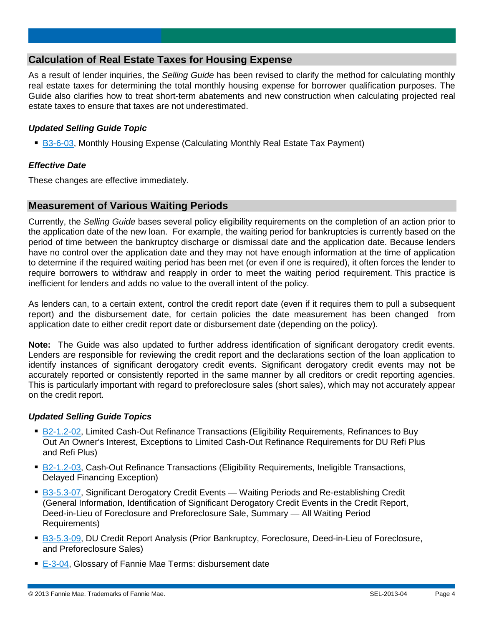## **Calculation of Real Estate Taxes for Housing Expense**

As a result of lender inquiries, the *Selling Guide* has been revised to clarify the method for calculating monthly real estate taxes for determining the total monthly housing expense for borrower qualification purposes. The Guide also clarifies how to treat short-term abatements and new construction when calculating projected real estate taxes to ensure that taxes are not underestimated.

## *Updated Selling Guide Topic*

■ [B3-6-03,](https://www.fanniemae.com/content/guide/sel052813.pdf#page=539) Monthly Housing Expense (Calculating Monthly Real Estate Tax Payment)

#### *Effective Date*

These changes are effective immediately.

## **Measurement of Various Waiting Periods**

Currently, the *Selling Guide* bases several policy eligibility requirements on the completion of an action prior to the application date of the new loan. For example, the waiting period for bankruptcies is currently based on the period of time between the bankruptcy discharge or dismissal date and the application date. Because lenders have no control over the application date and they may not have enough information at the time of application to determine if the required waiting period has been met (or even if one is required), it often forces the lender to require borrowers to withdraw and reapply in order to meet the waiting period requirement. This practice is inefficient for lenders and adds no value to the overall intent of the policy.

As lenders can, to a certain extent, control the credit report date (even if it requires them to pull a subsequent report) and the disbursement date, for certain policies the date measurement has been changed from application date to either credit report date or disbursement date (depending on the policy).

**Note:** The Guide was also updated to further address identification of significant derogatory credit events. Lenders are responsible for reviewing the credit report and the declarations section of the loan application to identify instances of significant derogatory credit events. Significant derogatory credit events may not be accurately reported or consistently reported in the same manner by all creditors or credit reporting agencies. This is particularly important with regard to preforeclosure sales (short sales), which may not accurately appear on the credit report.

## *Updated Selling Guide Topics*

- [B2-1.2-02,](https://www.fanniemae.com/content/guide/sel052813.pdf#page=211) Limited Cash-Out Refinance Transactions (Eligibility Requirements, Refinances to Buy Out An Owner's Interest, Exceptions to Limited Cash-Out Refinance Requirements for DU Refi Plus and Refi Plus)
- [B2-1.2-03,](https://www.fanniemae.com/content/guide/sel052813.pdf#page=216) Cash-Out Refinance Transactions (Eligibility Requirements, Ineligible Transactions, Delayed Financing Exception)
- [B3-5.3-07,](https://www.fanniemae.com/content/guide/sel052813.pdf#page=509) Significant Derogatory Credit Events Waiting Periods and Re-establishing Credit (General Information, Identification of Significant Derogatory Credit Events in the Credit Report, Deed-in-Lieu of Foreclosure and Preforeclosure Sale, Summary — All Waiting Period Requirements)
- [B3-5.3-09,](https://www.fanniemae.com/content/guide/sel052813.pdf#page=516) DU Credit Report Analysis (Prior Bankruptcy, Foreclosure, Deed-in-Lieu of Foreclosure, and Preforeclosure Sales)
- [E-3-04,](https://www.fanniemae.com/content/guide/sel052813.pdf#page=1269) Glossary of Fannie Mae Terms: disbursement date